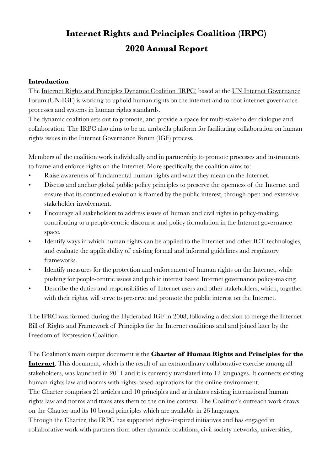# **Internet Rights and Principles Coalition (IRPC) 2020 Annual Report**

#### **Introduction**

The [Internet Rights and Principles Dynamic Coalition \(IRPC\)](https://internetrightsandprinciples.org) based at the [UN Internet Governance](https://www.intgovforum.org/multilingual/)  [Forum \(UN-IGF\)](https://www.intgovforum.org/multilingual/) is working to uphold human rights on the internet and to root internet governance processes and systems in human rights standards.

The dynamic coalition sets out to promote, and provide a space for multi-stakeholder dialogue and collaboration. The IRPC also aims to be an umbrella platform for facilitating collaboration on human rights issues in the Internet Governance Forum (IGF) process.

Members of the coalition work individually and in partnership to promote processes and instruments to frame and enforce rights on the Internet. More specifically, the coalition aims to:

- Raise awareness of fundamental human rights and what they mean on the Internet.
- Discuss and anchor global public policy principles to preserve the openness of the Internet and ensure that its continued evolution is framed by the public interest, through open and extensive stakeholder involvement.
- Encourage all stakeholders to address issues of human and civil rights in policy-making, contributing to a people-centric discourse and policy formulation in the Internet governance space.
- Identify ways in which human rights can be applied to the Internet and other ICT technologies, and evaluate the applicability of existing formal and informal guidelines and regulatory frameworks.
- Identify measures for the protection and enforcement of human rights on the Internet, while pushing for people-centric issues and public interest based Internet governance policy-making.
- Describe the duties and responsibilities of Internet users and other stakeholders, which, together with their rights, will serve to preserve and promote the public interest on the Internet.

The IPRC was formed during the Hyderabad IGF in 2008, following a decision to merge the Internet Bill of Rights and Framework of Principles for the Internet coalitions and and joined later by the Freedom of Expression Coalition.

The Coalition's main output document is the **[Charter of Human Rights and Principles for the](https://internetrightsandprinciples.org/wp-content/uploads/2020/03/IRP_booklet_Eng_7ed_Nov2019.pdf)  [Internet](https://internetrightsandprinciples.org/wp-content/uploads/2020/03/IRP_booklet_Eng_7ed_Nov2019.pdf)**. This document, which is the result of an extraordinary collaborative exercise among all stakeholders, was launched in 2011 and it is currently translated into 12 languages. It connects existing human rights law and norms with rights-based aspirations for the online environment. The Charter comprises 21 articles and 10 principles and articulates existing international human rights law and norms and translates them to the online context. The Coalition's outreach work draws on the Charter and its 10 broad principles which are available in 26 languages. Through the Charter, the IRPC has supported rights-inspired initiatives and has engaged in collaborative work with partners from other dynamic coalitions, civil society networks, universities,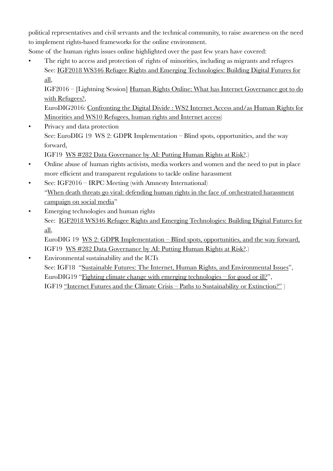political representatives and civil servants and the technical community, to raise awareness on the need to implement rights-based frameworks for the online environment.

Some of the human rights issues online highlighted over the past few years have covered:

The right to access and protection of rights of minorities, including as migrants and refugees See: [IGF2018 WS346 Refugee Rights and Emerging Technologies: Building Digital Futures for](https://www.intgovforum.org/multilingual/content/igf-2018-ws-346-refugee-rights-and-emerging-technologies-building-digital-futures-for-all)  [all,](https://www.intgovforum.org/multilingual/content/igf-2018-ws-346-refugee-rights-and-emerging-technologies-building-digital-futures-for-all)

IGF2016 – [Lightning Session] [Human Rights Online: What has Internet Governance got to do](https://igf2016.sched.com/event/90y5/lightning-session-human-rights-online-what-has-internet-governance-got-to-do-with-refugees)  [with Refugees?](https://igf2016.sched.com/event/90y5/lightning-session-human-rights-online-what-has-internet-governance-got-to-do-with-refugees),

EuroDIG2016: [Confronting the Digital Divide : WS2 Internet Access and/as Human Rights for](https://eurodigwiki.org/wiki/WS_2:_Confronting_the_digital_divide_(1)_-_Internet_access_and/as_human_rights_for_minorities)  [Minorities and WS10 Refugees, human rights and Internet access\)](https://eurodigwiki.org/wiki/WS_2:_Confronting_the_digital_divide_(1)_-_Internet_access_and/as_human_rights_for_minorities) 

• Privacy and data protection See: EuroDIG 19 [WS 2: GDPR Implementation – Blind spots, opportunities, and the way](https://eurodigwiki.org/wiki/GDPR_Implementation_%E2%80%93_Blind_spots,_opportunities,_and_the_way_forward_%E2%80%93_WS_02_2019)  [forward](https://eurodigwiki.org/wiki/GDPR_Implementation_%E2%80%93_Blind_spots,_opportunities,_and_the_way_forward_%E2%80%93_WS_02_2019),

IGF19 [WS #282 Data Governance by AI: Putting Human Rights at Risk?.](https://sched.co/SU22))

- Online abuse of human rights activists, media workers and women and the need to put in place more efficient and transparent regulations to tackle online harassment
- See: IGF2016 IRPC Meeting (with Amnesty International) "[When death threats go viral: defending human rights in the face of orchestrated harassment](https://igf2016.sched.com/event/8htr)  [campaign on social media"](https://igf2016.sched.com/event/8htr)
- Emerging technologies and human rights See: [IGF2018 WS346 Refugee Rights and Emerging Technologies: Building Digital Futures for](https://www.intgovforum.org/multilingual/content/igf-2018-ws-346-refugee-rights-and-emerging-technologies-building-digital-futures-for-all)  [all,](https://www.intgovforum.org/multilingual/content/igf-2018-ws-346-refugee-rights-and-emerging-technologies-building-digital-futures-for-all)

EuroDIG 19 [WS 2: GDPR Implementation – Blind spots, opportunities, and the way forward](https://eurodigwiki.org/wiki/GDPR_Implementation_%E2%80%93_Blind_spots,_opportunities,_and_the_way_forward_%E2%80%93_WS_02_2019), IGF19 [WS #282 Data Governance by AI: Putting Human Rights at Risk?.](https://sched.co/SU22))

• Environmental sustainability and the ICTs See: IGF18 "[Sustainable Futures: The Internet, Human Rights, and Environmental Issues"](https://www.intgovforum.org/multilingual/content/igf-2018-dc-internet-rights-and-principles-sustainable-futures-the-internet-human-rights-and), EuroDIG19 ["Fighting climate change with emerging technologies – for good or ill?](https://eurodigwiki.org/wiki/Fighting_climate_change_with_emerging_technologies_%E2%80%93_for_good_or_ill?_%E2%80%93_Flash_13_2019)", IGF19 ["Internet Futures and the Climate Crisis – Paths to Sustainability or Extinction?"](https://sched.co/SU3a) )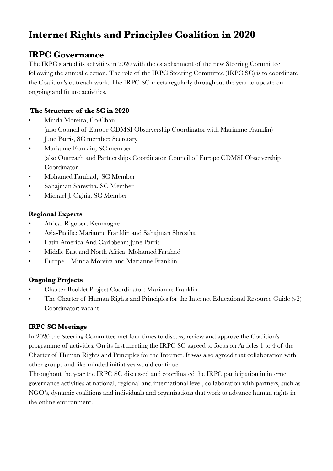# **Internet Rights and Principles Coalition in 2020**

## **IRPC Governance**

The IRPC started its activities in 2020 with the establishment of the new Steering Committee following the annual election. The role of the IRPC Steering Committee (IRPC SC) is to coordinate the Coalition's outreach work. The IRPC SC meets regularly throughout the year to update on ongoing and future activities.

#### **The Structure of the SC in 2020**

- Minda Moreira, Co-Chair (also Council of Europe CDMSI Observership Coordinator with Marianne Franklin)
- June Parris, SC member, Secretary
- Marianne Franklin, SC member (also Outreach and Partnerships Coordinator, Council of Europe CDMSI Observership Coordinator
- Mohamed Farahad, SC Member
- Sahajman Shrestha, SC Member
- Michael J. Oghia, SC Member

#### **Regional Experts**

- Africa: Rigobert Kenmogne
- Asia-Pacific: Marianne Franklin and Sahajman Shrestha
- Latin America And Caribbean: June Parris
- Middle East and North Africa: Mohamed Farahad
- Europe Minda Moreira and Marianne Franklin

#### **Ongoing Projects**

- Charter Booklet Project Coordinator: Marianne Franklin
- The Charter of Human Rights and Principles for the Internet Educational Resource Guide (v2) Coordinator: vacant

#### **IRPC SC Meetings**

In 2020 the Steering Committee met four times to discuss, review and approve the Coalition's programme of activities. On its first meeting the IRPC SC agreed to focus on Articles 1 to 4 of the [Charter of Human Rights and Principles for the Internet.](https://internetrightsandprinciples.org/wp-content/uploads/2020/03/IRP_booklet_Eng_7ed_Nov2019.pdf) It was also agreed that collaboration with other groups and like-minded initiatives would continue.

Throughout the year the IRPC SC discussed and coordinated the IRPC participation in internet governance activities at national, regional and international level, collaboration with partners, such as NGO's, dynamic coalitions and individuals and organisations that work to advance human rights in the online environment.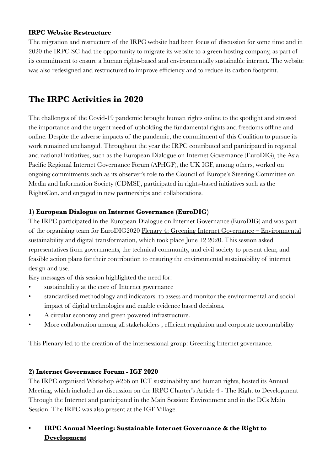#### **IRPC Website Restructure**

The migration and restructure of the IRPC website had been focus of discussion for some time and in 2020 the IRPC SC had the opportunity to migrate its website to a green hosting company, as part of its commitment to ensure a human rights-based and environmentally sustainable internet. The website was also redesigned and restructured to improve efficiency and to reduce its carbon footprint.

## **The IRPC Activities in 2020**

The challenges of the Covid-19 pandemic brought human rights online to the spotlight and stressed the importance and the urgent need of upholding the fundamental rights and freedoms offline and online. Despite the adverse impacts of the pandemic, the commitment of this Coalition to pursue its work remained unchanged. Throughout the year the IRPC contributed and participated in regional and national initiatives, such as the European Dialogue on Internet Governance (EuroDIG), the Asia Pacific Regional Internet Governance Forum (APrIGF), the UK IGF, among others, worked on ongoing commitments such as its observer's role to the Council of Europe's Steering Committee on Media and Information Society (CDMSI), participated in rights-based initiatives such as the RightsCon, and engaged in new partnerships and collaborations.

#### **1) European Dialogue on Internet Governance (EuroDIG)**

The IRPC participated in the European Dialogue on Internet Governance (EuroDIG) and was part of the organising team for EuroDIG2020 [Plenary 4: Greening Internet Governance – Environmental](https://eurodigwiki.org/wiki/Greening_Internet_governance_%E2%80%93_Environmental_sustainability_and_digital_transformation_%E2%80%93_PL_04_2020)  [sustainability and digital transformation](https://eurodigwiki.org/wiki/Greening_Internet_governance_%E2%80%93_Environmental_sustainability_and_digital_transformation_%E2%80%93_PL_04_2020), which took place June 12 2020. This session asked representatives from governments, the technical community, and civil society to present clear, and feasible action plans for their contribution to ensuring the environmental sustainability of internet design and use.

Key messages of this session highlighted the need for:

- sustainability at the core of Internet governance
- standardised methodology and indicators to assess and monitor the environmental and social impact of digital technologies and enable evidence based decisions.
- A circular economy and green powered infrastructure.
- More collaboration among all stakeholders , efficient regulation and corporate accountability

This Plenary led to the creation of the intersessional group: [Greening Internet governance.](https://eurodigwiki.org/wiki/Greening_Internet_governance_%E2%80%93_Environmental_sustainability_and_digital_transformation_%E2%80%93_2020/2021)

#### **2) Internet Governance Forum - IGF 2020**

The IRPC organised Workshop #266 on ICT sustainability and human rights, hosted its Annual Meeting, which included an discussion on the IRPC Charter's Article 4 - The Right to Development Through the Internet and participated in the Main Session: Environmen**t** and in the DCs Main Session. The IRPC was also present at the IGF Village.

### **• [IRPC Annual Meeting: Sustainable Internet Governance & the Right to](https://www.intgovforum.org/multilingual/content/igf-2020-sustainable-internet-governance-the-right-to-development#undefined)  [Development](https://www.intgovforum.org/multilingual/content/igf-2020-sustainable-internet-governance-the-right-to-development#undefined)**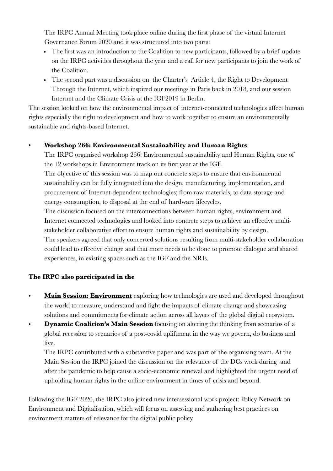The IRPC Annual Meeting took place online during the first phase of the virtual Internet Governance Forum 2020 and it was structured into two parts:

- The first was an introduction to the Coalition to new participants, followed by a brief update on the IRPC activities throughout the year and a call for new participants to join the work of the Coalition.
- The second part was a discussion on the Charter's Article 4, the Right to Development Through the Internet, which inspired our meetings in Paris back in 2018, and our session Internet and the Climate Crisis at the IGF2019 in Berlin.

The session looked on how the environmental impact of internet-connected technologies affect human rights especially the right to development and how to work together to ensure an environmentally sustainable and rights-based Internet.

#### • **[Workshop 266: Environmental Sustainability and Human Rights](https://www.intgovforum.org/multilingual/content/igf-2020-ws-266-sustainable-netgov%C2%A0by-design-environment-human-rights)**

The IRPC organised workshop 266: Environmental sustainability and Human Rights, one of the 12 workshops in Environment track on its first year at the IGF.

The objective of this session was to map out concrete steps to ensure that environmental sustainability can be fully integrated into the design, manufacturing, implementation, and procurement of Internet-dependent technologies; from raw materials, to data storage and energy consumption, to disposal at the end of hardware lifecycles.

The discussion focused on the interconnections between human rights, environment and Internet connected technologies and looked into concrete steps to achieve an effective multistakeholder collaborative effort to ensure human rights and sustainability by design. The speakers agreed that only concerted solutions resulting from multi-stakeholder collaboration could lead to effective change and that more needs to be done to promote dialogue and shared experiences, in existing spaces such as the IGF and the NRIs.

#### **The IRPC also participated in the**

- **[Main Session: Environment](https://www.intgovforum.org/multilingual/content/igf-2020-dcs-main-session-socio-economic-recovery-after-the-covid19-crisis-%E2%80%93-dynamic)** exploring how technologies are used and developed throughout the world to measure, understand and fight the impacts of climate change and showcasing solutions and commitments for climate action across all layers of the global digital ecosystem.
- **[Dynamic Coalition's Main Session](https://www.intgovforum.org/multilingual/content/igf-2020-dcs-main-session-socio-economic-recovery-after-the-covid19-crisis-%E2%80%93-dynamic)** focusing on altering the thinking from scenarios of a global recession to scenarios of a post-covid upliftment in the way we govern, do business and live.

The IRPC contributed with a substantive paper and was part of the organising team. At the Main Session the IRPC joined the discussion on the relevance of the DCs work during and after the pandemic to help cause a socio-economic renewal and highlighted the urgent need of upholding human rights in the online environment in times of crisis and beyond.

Following the IGF 2020, the IRPC also joined new intersessional work project: Policy Network on Environment and Digitalisation, which will focus on assessing and gathering best practices on environment matters of relevance for the digital public policy.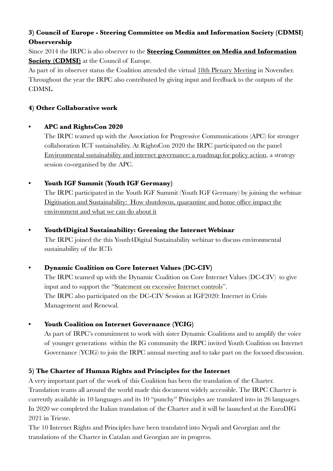### **3) Council of Europe - Steering Committee on Media and Information Society (CDMSI) Observership**

Since 2014 the IRPC is also observer to the **[Steering Committee on Media and Information](https://www.coe.int/en/web/freedom-expression/cdmsi)  [Society \(CDMSI\)](https://www.coe.int/en/web/freedom-expression/cdmsi)** at the Council of Europe.

As part of its observer status the Coalition attended the virtual [18th Plenary Meeting](https://rm.coe.int/18th-meeting-of-cdmsi-draft-agenda/1680a0199a) in November. Throughout the year the IRPC also contributed by giving input and feedback to the outputs of the CDMSI**.**

#### **4) Other Collaborative work**

#### **• APC and RightsCon 2020**

The IRPC teamed up with the Association for Progressive Communications (APC) for stronger collaboration ICT sustainability. At RightsCon 2020 the IRPC participated on the panel Environmental sustainability and internet governance: a roadmap for policy action, a strategy session co-organised by the APC.

#### **• Youth IGF Summit (Youth IGF Germany)**

The IRPC participated in the Youth IGF Summit (Youth IGF Germany) by joining the webinar [Digitisation and Sustainability: How shutdowns, quarantine and home office impact the](https://yigf.gi.de/event/digitisation-and-sustainability)  [environment and what we can do about it](https://yigf.gi.de/event/digitisation-and-sustainability)

#### **• Youth4Digital Sustainability: Greening the Internet Webinar**

The IRPC joined the this Youth4Digital Sustainability webinar to discuss environmental sustainability of the ICTs

#### **• Dynamic Coalition on Core Internet Values (DC-CIV)**

The IRPC teamed up with the Dynamic Coalition on Core Internet Values (DC-CIV) to give input and to support the "[Statement on excessive Internet controls](https://www.coreinternetvalues.org/?p=1715)". The IRPC also participated on the DC-CIV Session at IGF2020: Internet in Crisis Management and Renewal.

#### **• Youth Coalition on Internet Governance (YCIG)**

As part of IRPC's commitment to work with sister Dynamic Coalitions and to amplify the voice of younger generations within the IG community the IRPC invited Youth Coalition on Internet Governance (YCIG) to join the IRPC annual meeting and to take part on the focused discussion.

#### **5) The Charter of Human Rights and Principles for the Internet**

A very important part of the work of this Coalition has been the translation of the Charter. Translation teams all around the world made this document widely accessible. The IRPC Charter is currently available in 10 languages and its 10 "punchy" Principles are translated into in 26 languages. In 2020 we completed the Italian translation of the Charter and it will be launched at the EuroDIG 2021 in Trieste.

The 10 Internet Rights and Principles have been translated into Nepali and Georgian and the translations of the Charter in Catalan and Georgian are in progress.